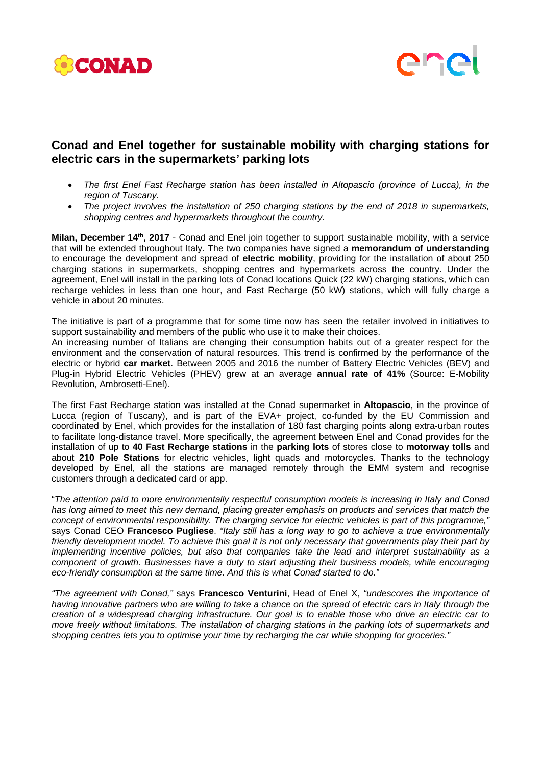



## **Conad and Enel together for sustainable mobility with charging stations for electric cars in the supermarkets' parking lots**

- *The first Enel Fast Recharge station has been installed in Altopascio (province of Lucca), in the region of Tuscany.*
- *The project involves the installation of 250 charging stations by the end of 2018 in supermarkets, shopping centres and hypermarkets throughout the country.*

**Milan, December 14th, 2017** - Conad and Enel join together to support sustainable mobility, with a service that will be extended throughout Italy. The two companies have signed a **memorandum of understanding** to encourage the development and spread of **electric mobility**, providing for the installation of about 250 charging stations in supermarkets, shopping centres and hypermarkets across the country. Under the agreement, Enel will install in the parking lots of Conad locations Quick (22 kW) charging stations, which can recharge vehicles in less than one hour, and Fast Recharge (50 kW) stations, which will fully charge a vehicle in about 20 minutes.

The initiative is part of a programme that for some time now has seen the retailer involved in initiatives to support sustainability and members of the public who use it to make their choices.

An increasing number of Italians are changing their consumption habits out of a greater respect for the environment and the conservation of natural resources. This trend is confirmed by the performance of the electric or hybrid **car market**. Between 2005 and 2016 the number of Battery Electric Vehicles (BEV) and Plug-in Hybrid Electric Vehicles (PHEV) grew at an average **annual rate of 41%** (Source: E-Mobility Revolution, Ambrosetti-Enel).

The first Fast Recharge station was installed at the Conad supermarket in **Altopascio**, in the province of Lucca (region of Tuscany), and is part of the EVA+ project, co-funded by the EU Commission and coordinated by Enel, which provides for the installation of 180 fast charging points along extra-urban routes to facilitate long-distance travel. More specifically, the agreement between Enel and Conad provides for the installation of up to **40 Fast Recharge stations** in the **parking lots** of stores close to **motorway tolls** and about **210 Pole Stations** for electric vehicles, light quads and motorcycles. Thanks to the technology developed by Enel, all the stations are managed remotely through the EMM system and recognise customers through a dedicated card or app.

"*The attention paid to more environmentally respectful consumption models is increasing in Italy and Conad has long aimed to meet this new demand, placing greater emphasis on products and services that match the concept of environmental responsibility. The charging service for electric vehicles is part of this programme,"* says Conad CEO **Francesco Pugliese**. *"Italy still has a long way to go to achieve a true environmentally friendly development model. To achieve this goal it is not only necessary that governments play their part by implementing incentive policies, but also that companies take the lead and interpret sustainability as a component of growth. Businesses have a duty to start adjusting their business models, while encouraging eco-friendly consumption at the same time. And this is what Conad started to do."*

*"The agreement with Conad,"* says **Francesco Venturini**, Head of Enel X, *"undescores the importance of having innovative partners who are willing to take a chance on the spread of electric cars in Italy through the creation of a widespread charging infrastructure. Our goal is to enable those who drive an electric car to move freely without limitations. The installation of charging stations in the parking lots of supermarkets and shopping centres lets you to optimise your time by recharging the car while shopping for groceries."*